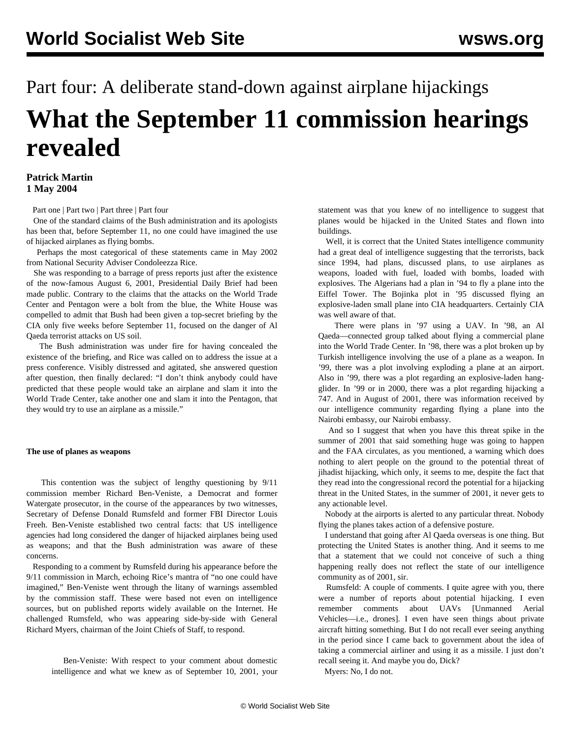# Part four: A deliberate stand-down against airplane hijackings **What the September 11 commission hearings revealed**

# **Patrick Martin 1 May 2004**

[Part one](/en/articles/2004/04/911-a22.html) | [Part two](/en/articles/2004/04/911-a26.html) | [Part three](/en/articles/2004/04/911-a27.html) | [Part four](/en/articles/2004/05/911-m01.html)

 One of the standard claims of the Bush administration and its apologists has been that, before September 11, no one could have imagined the use of hijacked airplanes as flying bombs.

 Perhaps the most categorical of these statements came in May 2002 from National Security Adviser Condoleezza Rice.

 She was responding to a barrage of press reports just after the existence of the now-famous August 6, 2001, Presidential Daily Brief had been made public. Contrary to the claims that the attacks on the World Trade Center and Pentagon were a bolt from the blue, the White House was compelled to admit that Bush had been given a top-secret briefing by the CIA only five weeks before September 11, focused on the danger of Al Qaeda terrorist attacks on US soil.

 The Bush administration was under fire for having concealed the existence of the briefing, and Rice was called on to address the issue at a press conference. Visibly distressed and agitated, she answered question after question, then finally declared: "I don't think anybody could have predicted that these people would take an airplane and slam it into the World Trade Center, take another one and slam it into the Pentagon, that they would try to use an airplane as a missile."

## **The use of planes as weapons**

 This contention was the subject of lengthy questioning by 9/11 commission member Richard Ben-Veniste, a Democrat and former Watergate prosecutor, in the course of the appearances by two witnesses, Secretary of Defense Donald Rumsfeld and former FBI Director Louis Freeh. Ben-Veniste established two central facts: that US intelligence agencies had long considered the danger of hijacked airplanes being used as weapons; and that the Bush administration was aware of these concerns.

 Responding to a comment by Rumsfeld during his appearance before the 9/11 commission in March, echoing Rice's mantra of "no one could have imagined," Ben-Veniste went through the litany of warnings assembled by the commission staff. These were based not even on intelligence sources, but on published reports widely available on the Internet. He challenged Rumsfeld, who was appearing side-by-side with General Richard Myers, chairman of the Joint Chiefs of Staff, to respond.

 Ben-Veniste: With respect to your comment about domestic intelligence and what we knew as of September 10, 2001, your statement was that you knew of no intelligence to suggest that planes would be hijacked in the United States and flown into buildings.

 Well, it is correct that the United States intelligence community had a great deal of intelligence suggesting that the terrorists, back since 1994, had plans, discussed plans, to use airplanes as weapons, loaded with fuel, loaded with bombs, loaded with explosives. The Algerians had a plan in '94 to fly a plane into the Eiffel Tower. The Bojinka plot in '95 discussed flying an explosive-laden small plane into CIA headquarters. Certainly CIA was well aware of that.

 There were plans in '97 using a UAV. In '98, an Al Qaeda—connected group talked about flying a commercial plane into the World Trade Center. In '98, there was a plot broken up by Turkish intelligence involving the use of a plane as a weapon. In '99, there was a plot involving exploding a plane at an airport. Also in '99, there was a plot regarding an explosive-laden hangglider. In '99 or in 2000, there was a plot regarding hijacking a 747. And in August of 2001, there was information received by our intelligence community regarding flying a plane into the Nairobi embassy, our Nairobi embassy.

 And so I suggest that when you have this threat spike in the summer of 2001 that said something huge was going to happen and the FAA circulates, as you mentioned, a warning which does nothing to alert people on the ground to the potential threat of jihadist hijacking, which only, it seems to me, despite the fact that they read into the congressional record the potential for a hijacking threat in the United States, in the summer of 2001, it never gets to any actionable level.

 Nobody at the airports is alerted to any particular threat. Nobody flying the planes takes action of a defensive posture.

 I understand that going after Al Qaeda overseas is one thing. But protecting the United States is another thing. And it seems to me that a statement that we could not conceive of such a thing happening really does not reflect the state of our intelligence community as of 2001, sir.

 Rumsfeld: A couple of comments. I quite agree with you, there were a number of reports about potential hijacking. I even remember comments about UAVs [Unmanned Aerial Vehicles—i.e., drones]. I even have seen things about private aircraft hitting something. But I do not recall ever seeing anything in the period since I came back to government about the idea of taking a commercial airliner and using it as a missile. I just don't recall seeing it. And maybe you do, Dick?

Myers: No, I do not.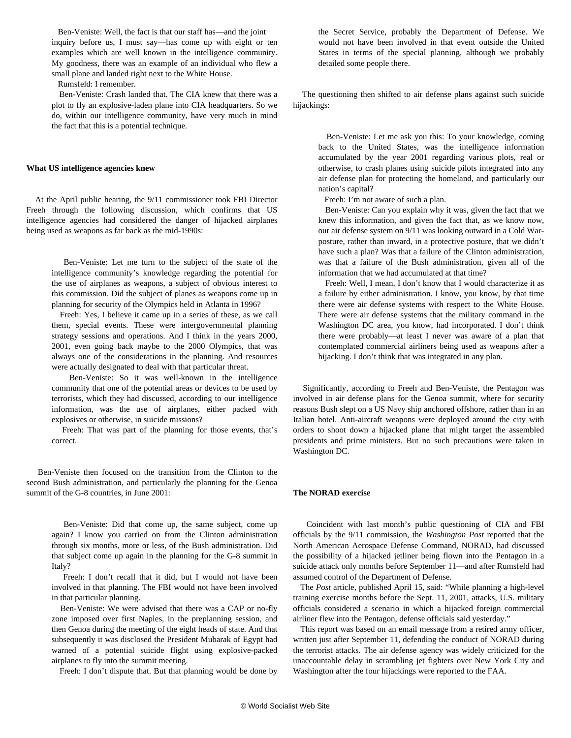Ben-Veniste: Well, the fact is that our staff has—and the joint inquiry before us, I must say—has come up with eight or ten examples which are well known in the intelligence community. My goodness, there was an example of an individual who flew a small plane and landed right next to the White House.

Rumsfeld: I remember.

 Ben-Veniste: Crash landed that. The CIA knew that there was a plot to fly an explosive-laden plane into CIA headquarters. So we do, within our intelligence community, have very much in mind the fact that this is a potential technique.

### **What US intelligence agencies knew**

 At the April public hearing, the 9/11 commissioner took FBI Director Freeh through the following discussion, which confirms that US intelligence agencies had considered the danger of hijacked airplanes being used as weapons as far back as the mid-1990s:

 Ben-Veniste: Let me turn to the subject of the state of the intelligence community's knowledge regarding the potential for the use of airplanes as weapons, a subject of obvious interest to this commission. Did the subject of planes as weapons come up in planning for security of the Olympics held in Atlanta in 1996?

 Freeh: Yes, I believe it came up in a series of these, as we call them, special events. These were intergovernmental planning strategy sessions and operations. And I think in the years 2000, 2001, even going back maybe to the 2000 Olympics, that was always one of the considerations in the planning. And resources were actually designated to deal with that particular threat.

 Ben-Veniste: So it was well-known in the intelligence community that one of the potential areas or devices to be used by terrorists, which they had discussed, according to our intelligence information, was the use of airplanes, either packed with explosives or otherwise, in suicide missions?

 Freeh: That was part of the planning for those events, that's correct.

 Ben-Veniste then focused on the transition from the Clinton to the second Bush administration, and particularly the planning for the Genoa summit of the G-8 countries, in June 2001:

> Ben-Veniste: Did that come up, the same subject, come up again? I know you carried on from the Clinton administration through six months, more or less, of the Bush administration. Did that subject come up again in the planning for the G-8 summit in Italy?

> Freeh: I don't recall that it did, but I would not have been involved in that planning. The FBI would not have been involved in that particular planning.

> Ben-Veniste: We were advised that there was a CAP or no-fly zone imposed over first Naples, in the preplanning session, and then Genoa during the meeting of the eight heads of state. And that subsequently it was disclosed the President Mubarak of Egypt had warned of a potential suicide flight using explosive-packed airplanes to fly into the summit meeting.

Freeh: I don't dispute that. But that planning would be done by

the Secret Service, probably the Department of Defense. We would not have been involved in that event outside the United States in terms of the special planning, although we probably detailed some people there.

 The questioning then shifted to air defense plans against such suicide hijackings:

 Ben-Veniste: Let me ask you this: To your knowledge, coming back to the United States, was the intelligence information accumulated by the year 2001 regarding various plots, real or otherwise, to crash planes using suicide pilots integrated into any air defense plan for protecting the homeland, and particularly our nation's capital?

Freeh: I'm not aware of such a plan.

 Ben-Veniste: Can you explain why it was, given the fact that we knew this information, and given the fact that, as we know now, our air defense system on 9/11 was looking outward in a Cold Warposture, rather than inward, in a protective posture, that we didn't have such a plan? Was that a failure of the Clinton administration, was that a failure of the Bush administration, given all of the information that we had accumulated at that time?

 Freeh: Well, I mean, I don't know that I would characterize it as a failure by either administration. I know, you know, by that time there were air defense systems with respect to the White House. There were air defense systems that the military command in the Washington DC area, you know, had incorporated. I don't think there were probably—at least I never was aware of a plan that contemplated commercial airliners being used as weapons after a hijacking. I don't think that was integrated in any plan.

 Significantly, according to Freeh and Ben-Veniste, the Pentagon was involved in air defense plans for the Genoa summit, where for security reasons Bush slept on a US Navy ship anchored offshore, rather than in an Italian hotel. Anti-aircraft weapons were deployed around the city with orders to shoot down a hijacked plane that might target the assembled presidents and prime ministers. But no such precautions were taken in Washington DC.

#### **The NORAD exercise**

 Coincident with last month's public questioning of CIA and FBI officials by the 9/11 commission, the *Washington Post* reported that the North American Aerospace Defense Command, NORAD, had discussed the possibility of a hijacked jetliner being flown into the Pentagon in a suicide attack only months before September 11—and after Rumsfeld had assumed control of the Department of Defense.

 The *Post* article, published April 15, said: "While planning a high-level training exercise months before the Sept. 11, 2001, attacks, U.S. military officials considered a scenario in which a hijacked foreign commercial airliner flew into the Pentagon, defense officials said yesterday."

 This report was based on an email message from a retired army officer, written just after September 11, defending the conduct of NORAD during the terrorist attacks. The air defense agency was widely criticized for the unaccountable delay in scrambling jet fighters over New York City and Washington after the four hijackings were reported to the FAA.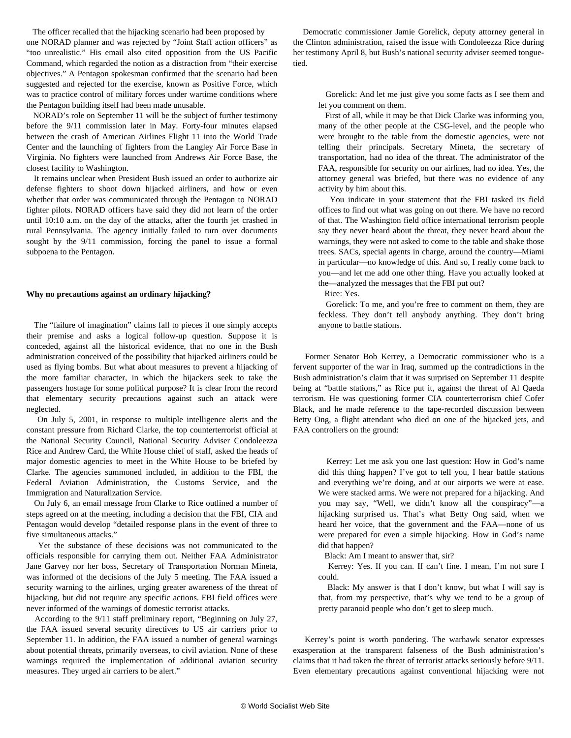The officer recalled that the hijacking scenario had been proposed by one NORAD planner and was rejected by "Joint Staff action officers" as "too unrealistic." His email also cited opposition from the US Pacific Command, which regarded the notion as a distraction from "their exercise objectives." A Pentagon spokesman confirmed that the scenario had been suggested and rejected for the exercise, known as Positive Force, which was to practice control of military forces under wartime conditions where the Pentagon building itself had been made unusable.

 NORAD's role on September 11 will be the subject of further testimony before the 9/11 commission later in May. Forty-four minutes elapsed between the crash of American Airlines Flight 11 into the World Trade Center and the launching of fighters from the Langley Air Force Base in Virginia. No fighters were launched from Andrews Air Force Base, the closest facility to Washington.

 It remains unclear when President Bush issued an order to authorize air defense fighters to shoot down hijacked airliners, and how or even whether that order was communicated through the Pentagon to NORAD fighter pilots. NORAD officers have said they did not learn of the order until 10:10 a.m. on the day of the attacks, after the fourth jet crashed in rural Pennsylvania. The agency initially failed to turn over documents sought by the 9/11 commission, forcing the panel to issue a formal subpoena to the Pentagon.

#### **Why no precautions against an ordinary hijacking?**

 The "failure of imagination" claims fall to pieces if one simply accepts their premise and asks a logical follow-up question. Suppose it is conceded, against all the historical evidence, that no one in the Bush administration conceived of the possibility that hijacked airliners could be used as flying bombs. But what about measures to prevent a hijacking of the more familiar character, in which the hijackers seek to take the passengers hostage for some political purpose? It is clear from the record that elementary security precautions against such an attack were neglected.

 On July 5, 2001, in response to multiple intelligence alerts and the constant pressure from Richard Clarke, the top counterterrorist official at the National Security Council, National Security Adviser Condoleezza Rice and Andrew Card, the White House chief of staff, asked the heads of major domestic agencies to meet in the White House to be briefed by Clarke. The agencies summoned included, in addition to the FBI, the Federal Aviation Administration, the Customs Service, and the Immigration and Naturalization Service.

 On July 6, an email message from Clarke to Rice outlined a number of steps agreed on at the meeting, including a decision that the FBI, CIA and Pentagon would develop "detailed response plans in the event of three to five simultaneous attacks."

 Yet the substance of these decisions was not communicated to the officials responsible for carrying them out. Neither FAA Administrator Jane Garvey nor her boss, Secretary of Transportation Norman Mineta, was informed of the decisions of the July 5 meeting. The FAA issued a security warning to the airlines, urging greater awareness of the threat of hijacking, but did not require any specific actions. FBI field offices were never informed of the warnings of domestic terrorist attacks.

 According to the 9/11 staff preliminary report, "Beginning on July 27, the FAA issued several security directives to US air carriers prior to September 11. In addition, the FAA issued a number of general warnings about potential threats, primarily overseas, to civil aviation. None of these warnings required the implementation of additional aviation security measures. They urged air carriers to be alert."

 Democratic commissioner Jamie Gorelick, deputy attorney general in the Clinton administration, raised the issue with Condoleezza Rice during her testimony April 8, but Bush's national security adviser seemed tonguetied.

 Gorelick: And let me just give you some facts as I see them and let you comment on them.

 First of all, while it may be that Dick Clarke was informing you, many of the other people at the CSG-level, and the people who were brought to the table from the domestic agencies, were not telling their principals. Secretary Mineta, the secretary of transportation, had no idea of the threat. The administrator of the FAA, responsible for security on our airlines, had no idea. Yes, the attorney general was briefed, but there was no evidence of any activity by him about this.

 You indicate in your statement that the FBI tasked its field offices to find out what was going on out there. We have no record of that. The Washington field office international terrorism people say they never heard about the threat, they never heard about the warnings, they were not asked to come to the table and shake those trees. SACs, special agents in charge, around the country—Miami in particular—no knowledge of this. And so, I really come back to you—and let me add one other thing. Have you actually looked at the—analyzed the messages that the FBI put out?

Rice: Yes.

 Gorelick: To me, and you're free to comment on them, they are feckless. They don't tell anybody anything. They don't bring anyone to battle stations.

 Former Senator Bob Kerrey, a Democratic commissioner who is a fervent supporter of the war in Iraq, summed up the contradictions in the Bush administration's claim that it was surprised on September 11 despite being at "battle stations," as Rice put it, against the threat of Al Qaeda terrorism. He was questioning former CIA counterterrorism chief Cofer Black, and he made reference to the tape-recorded discussion between Betty Ong, a flight attendant who died on one of the hijacked jets, and FAA controllers on the ground:

 Kerrey: Let me ask you one last question: How in God's name did this thing happen? I've got to tell you, I hear battle stations and everything we're doing, and at our airports we were at ease. We were stacked arms. We were not prepared for a hijacking. And you may say, "Well, we didn't know all the conspiracy"—a hijacking surprised us. That's what Betty Ong said, when we heard her voice, that the government and the FAA—none of us were prepared for even a simple hijacking. How in God's name did that happen?

Black: Am I meant to answer that, sir?

 Kerrey: Yes. If you can. If can't fine. I mean, I'm not sure I could.

 Black: My answer is that I don't know, but what I will say is that, from my perspective, that's why we tend to be a group of pretty paranoid people who don't get to sleep much.

 Kerrey's point is worth pondering. The warhawk senator expresses exasperation at the transparent falseness of the Bush administration's claims that it had taken the threat of terrorist attacks seriously before 9/11. Even elementary precautions against conventional hijacking were not